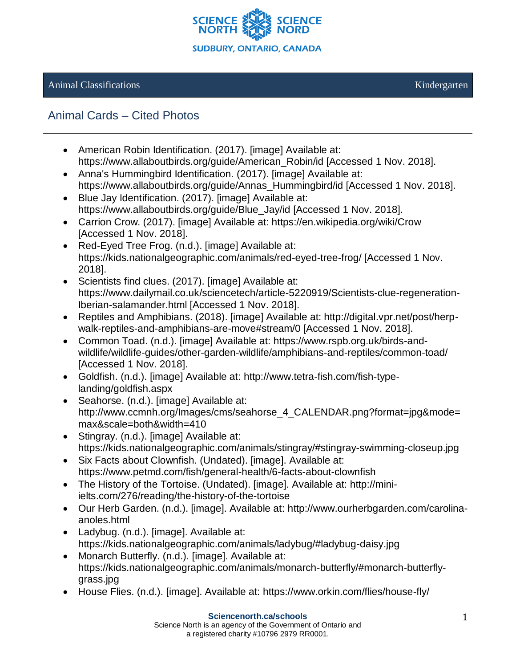

## Animal Classifications and the contraction of the contraction of the contraction of the contractions of the contractions of the contractions of the contractions of the contractions of the contractions of the contractions o

## Animal Cards – Cited Photos

- American Robin Identification. (2017). [image] Available at: https://www.allaboutbirds.org/guide/American\_Robin/id [Accessed 1 Nov. 2018].
- Anna's Hummingbird Identification. (2017). [image] Available at: https://www.allaboutbirds.org/guide/Annas\_Hummingbird/id [Accessed 1 Nov. 2018].
- Blue Jay Identification. (2017). [image] Available at: https://www.allaboutbirds.org/guide/Blue\_Jay/id [Accessed 1 Nov. 2018].
- Carrion Crow. (2017). [image] Available at: https://en.wikipedia.org/wiki/Crow [Accessed 1 Nov. 2018].
- Red-Eyed Tree Frog. (n.d.). [image] Available at: https://kids.nationalgeographic.com/animals/red-eyed-tree-frog/ [Accessed 1 Nov. 2018].
- Scientists find clues. (2017). [image] Available at: https://www.dailymail.co.uk/sciencetech/article-5220919/Scientists-clue-regeneration-Iberian-salamander.html [Accessed 1 Nov. 2018].
- Reptiles and Amphibians. (2018). [image] Available at: http://digital.vpr.net/post/herpwalk-reptiles-and-amphibians-are-move#stream/0 [Accessed 1 Nov. 2018].
- Common Toad. (n.d.). [image] Available at: https://www.rspb.org.uk/birds-andwildlife/wildlife-guides/other-garden-wildlife/amphibians-and-reptiles/common-toad/ [Accessed 1 Nov. 2018].
- Goldfish. (n.d.). [image] Available at: [http://www.tetra-fish.com/fish-type](http://www.tetra-fish.com/fish-type-landing/goldfish.aspx)[landing/goldfish.aspx](http://www.tetra-fish.com/fish-type-landing/goldfish.aspx)
- Seahorse. (n.d.). [image] Available at: [http://www.ccmnh.org/Images/cms/seahorse\\_4\\_CALENDAR.png?format=jpg&mode=](http://www.ccmnh.org/Images/cms/seahorse_4_CALENDAR.png?format=jpg&mode=max&scale=both&width=410) [max&scale=both&width=410](http://www.ccmnh.org/Images/cms/seahorse_4_CALENDAR.png?format=jpg&mode=max&scale=both&width=410)
- Stingray. (n.d.). [image] Available at: <https://kids.nationalgeographic.com/animals/stingray/#stingray-swimming-closeup.jpg>
- Six Facts about Clownfish. (Undated). [image]. Available at: <https://www.petmd.com/fish/general-health/6-facts-about-clownfish>
- The History of the Tortoise. (Undated). [image]. Available at: [http://mini](http://mini-ielts.com/276/reading/the-history-of-the-tortoise)[ielts.com/276/reading/the-history-of-the-tortoise](http://mini-ielts.com/276/reading/the-history-of-the-tortoise)
- Our Herb Garden. (n.d.). [image]. Available at: [http://www.ourherbgarden.com/carolina](http://www.ourherbgarden.com/carolina-anoles.html)[anoles.html](http://www.ourherbgarden.com/carolina-anoles.html)
- Ladybug. (n.d.). [image]. Available at: <https://kids.nationalgeographic.com/animals/ladybug/#ladybug-daisy.jpg>
- Monarch Butterfly. (n.d.). [image]. Available at: [https://kids.nationalgeographic.com/animals/monarch-butterfly/#monarch-butterfly](https://kids.nationalgeographic.com/animals/monarch-butterfly/#monarch-butterfly-grass.jpg)[grass.jpg](https://kids.nationalgeographic.com/animals/monarch-butterfly/#monarch-butterfly-grass.jpg)
- House Flies. (n.d.). [image]. Available at:<https://www.orkin.com/flies/house-fly/>